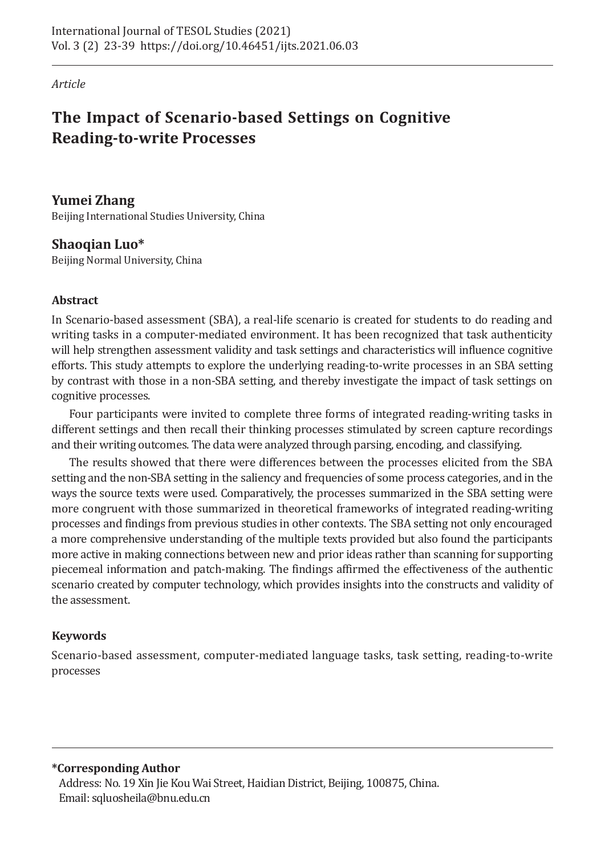*Article*

# **The Impact of Scenario-based Settings on Cognitive Reading-to-write Processes**

# **Yumei Zhang** Beijing International Studies University, China

# **Shaoqian Luo\***

Beijing Normal University, China

# **Abstract**

In Scenario-based assessment (SBA), a real-life scenario is created for students to do reading and writing tasks in a computer-mediated environment. It has been recognized that task authenticity will help strengthen assessment validity and task settings and characteristics will influence cognitive efforts. This study attempts to explore the underlying reading-to-write processes in an SBA setting by contrast with those in a non-SBA setting, and thereby investigate the impact of task settings on cognitive processes.

Four participants were invited to complete three forms of integrated reading-writing tasks in different settings and then recall their thinking processes stimulated by screen capture recordings and their writing outcomes. The data were analyzed through parsing, encoding, and classifying.

The results showed that there were differences between the processes elicited from the SBA setting and the non-SBA setting in the saliency and frequencies of some process categories, and in the ways the source texts were used. Comparatively, the processes summarized in the SBA setting were more congruent with those summarized in theoretical frameworks of integrated reading-writing processes and findings from previous studies in other contexts. The SBA setting not only encouraged a more comprehensive understanding of the multiple texts provided but also found the participants more active in making connections between new and prior ideas rather than scanning for supporting piecemeal information and patch-making. The findings affirmed the effectiveness of the authentic scenario created by computer technology, which provides insights into the constructs and validity of the assessment.

# **Keywords**

Scenario-based assessment, computer-mediated language tasks, task setting, reading-to-write processes

# **\*Corresponding Author**

 Address: No. 19 Xin Jie Kou Wai Street, Haidian District, Beijing, 100875, China. Email: sqluosheila@bnu.edu.cn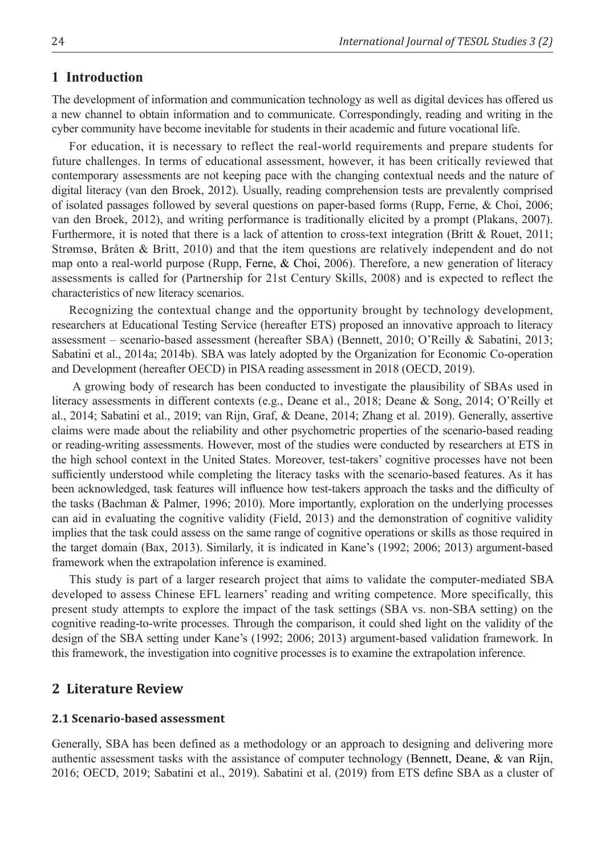# **1 Introduction**

The development of information and communication technology as well as digital devices has offered us a new channel to obtain information and to communicate. Correspondingly, reading and writing in the cyber community have become inevitable for students in their academic and future vocational life.

For education, it is necessary to reflect the real-world requirements and prepare students for future challenges. In terms of educational assessment, however, it has been critically reviewed that contemporary assessments are not keeping pace with the changing contextual needs and the nature of digital literacy (van den Broek, 2012). Usually, reading comprehension tests are prevalently comprised of isolated passages followed by several questions on paper-based forms (Rupp, Ferne, & Choi, 2006; van den Broek, 2012), and writing performance is traditionally elicited by a prompt (Plakans, 2007). Furthermore, it is noted that there is a lack of attention to cross-text integration (Britt & Rouet, 2011; Strømsø, Bråten & Britt, 2010) and that the item questions are relatively independent and do not map onto a real-world purpose (Rupp, Ferne, & Choi, 2006). Therefore, a new generation of literacy assessments is called for (Partnership for 21st Century Skills, 2008) and is expected to reflect the characteristics of new literacy scenarios.

Recognizing the contextual change and the opportunity brought by technology development, researchers at Educational Testing Service (hereafter ETS) proposed an innovative approach to literacy assessment – scenario-based assessment (hereafter SBA) (Bennett, 2010; O'Reilly & Sabatini, 2013; Sabatini et al., 2014a; 2014b). SBA was lately adopted by the Organization for Economic Co-operation and Development (hereafter OECD) in PISA reading assessment in 2018 (OECD, 2019).

 A growing body of research has been conducted to investigate the plausibility of SBAs used in literacy assessments in different contexts (e.g., Deane et al., 2018; Deane & Song, 2014; O'Reilly et al., 2014; Sabatini et al., 2019; van Rijn, Graf, & Deane, 2014; Zhang et al. 2019). Generally, assertive claims were made about the reliability and other psychometric properties of the scenario-based reading or reading-writing assessments. However, most of the studies were conducted by researchers at ETS in the high school context in the United States. Moreover, test-takers' cognitive processes have not been sufficiently understood while completing the literacy tasks with the scenario-based features. As it has been acknowledged, task features will influence how test-takers approach the tasks and the difficulty of the tasks (Bachman & Palmer, 1996; 2010). More importantly, exploration on the underlying processes can aid in evaluating the cognitive validity (Field, 2013) and the demonstration of cognitive validity implies that the task could assess on the same range of cognitive operations or skills as those required in the target domain (Bax, 2013). Similarly, it is indicated in Kane's (1992; 2006; 2013) argument-based framework when the extrapolation inference is examined.

This study is part of a larger research project that aims to validate the computer-mediated SBA developed to assess Chinese EFL learners' reading and writing competence. More specifically, this present study attempts to explore the impact of the task settings (SBA vs. non-SBA setting) on the cognitive reading-to-write processes. Through the comparison, it could shed light on the validity of the design of the SBA setting under Kane's (1992; 2006; 2013) argument-based validation framework. In this framework, the investigation into cognitive processes is to examine the extrapolation inference.

### **2 Literature Review**

#### **2.1 Scenario-based assessment**

Generally, SBA has been defined as a methodology or an approach to designing and delivering more authentic assessment tasks with the assistance of computer technology (Bennett, Deane, & van Rijn, 2016; OECD, 2019; Sabatini et al., 2019). Sabatini et al. (2019) from ETS define SBA as a cluster of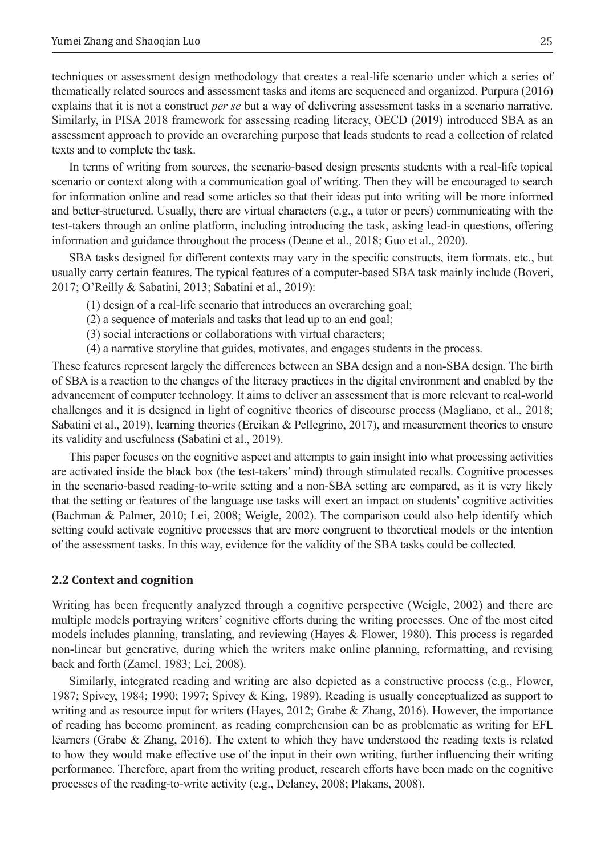techniques or assessment design methodology that creates a real-life scenario under which a series of thematically related sources and assessment tasks and items are sequenced and organized. Purpura (2016) explains that it is not a construct *per se* but a way of delivering assessment tasks in a scenario narrative. Similarly, in PISA 2018 framework for assessing reading literacy, OECD (2019) introduced SBA as an assessment approach to provide an overarching purpose that leads students to read a collection of related texts and to complete the task.

In terms of writing from sources, the scenario-based design presents students with a real-life topical scenario or context along with a communication goal of writing. Then they will be encouraged to search for information online and read some articles so that their ideas put into writing will be more informed and better-structured. Usually, there are virtual characters (e.g., a tutor or peers) communicating with the test-takers through an online platform, including introducing the task, asking lead-in questions, offering information and guidance throughout the process (Deane et al., 2018; Guo et al., 2020).

SBA tasks designed for different contexts may vary in the specific constructs, item formats, etc., but usually carry certain features. The typical features of a computer-based SBA task mainly include (Boveri, 2017; O'Reilly & Sabatini, 2013; Sabatini et al., 2019):

- (1) design of a real-life scenario that introduces an overarching goal;
- (2) a sequence of materials and tasks that lead up to an end goal;
- (3) social interactions or collaborations with virtual characters;
- (4) a narrative storyline that guides, motivates, and engages students in the process.

These features represent largely the differences between an SBA design and a non-SBA design. The birth of SBA is a reaction to the changes of the literacy practices in the digital environment and enabled by the advancement of computer technology. It aims to deliver an assessment that is more relevant to real-world challenges and it is designed in light of cognitive theories of discourse process (Magliano, et al., 2018; Sabatini et al., 2019), learning theories (Ercikan & Pellegrino, 2017), and measurement theories to ensure its validity and usefulness (Sabatini et al., 2019).

This paper focuses on the cognitive aspect and attempts to gain insight into what processing activities are activated inside the black box (the test-takers' mind) through stimulated recalls. Cognitive processes in the scenario-based reading-to-write setting and a non-SBA setting are compared, as it is very likely that the setting or features of the language use tasks will exert an impact on students' cognitive activities (Bachman & Palmer, 2010; Lei, 2008; Weigle, 2002). The comparison could also help identify which setting could activate cognitive processes that are more congruent to theoretical models or the intention of the assessment tasks. In this way, evidence for the validity of the SBA tasks could be collected.

#### **2.2 Context and cognition**

Writing has been frequently analyzed through a cognitive perspective (Weigle, 2002) and there are multiple models portraying writers' cognitive efforts during the writing processes. One of the most cited models includes planning, translating, and reviewing (Hayes & Flower, 1980). This process is regarded non-linear but generative, during which the writers make online planning, reformatting, and revising back and forth (Zamel, 1983; Lei, 2008).

Similarly, integrated reading and writing are also depicted as a constructive process (e.g., Flower, 1987; Spivey, 1984; 1990; 1997; Spivey & King, 1989). Reading is usually conceptualized as support to writing and as resource input for writers (Hayes, 2012; Grabe & Zhang, 2016). However, the importance of reading has become prominent, as reading comprehension can be as problematic as writing for EFL learners (Grabe & Zhang, 2016). The extent to which they have understood the reading texts is related to how they would make effective use of the input in their own writing, further influencing their writing performance. Therefore, apart from the writing product, research efforts have been made on the cognitive processes of the reading-to-write activity (e.g., Delaney, 2008; Plakans, 2008).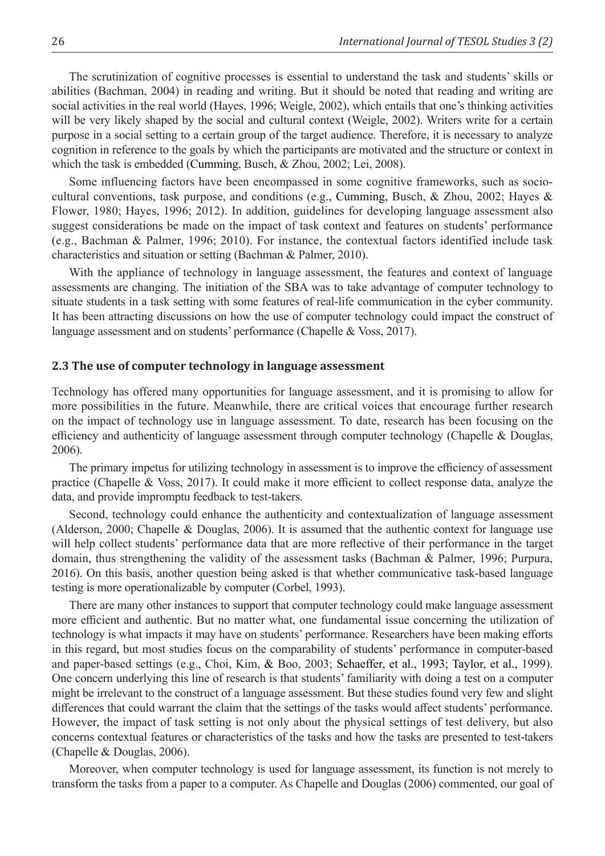The scrutinization of cognitive processes is essential to understand the task and students' skills or abilities (Bachman, 2004) in reading and writing. But it should be noted that reading and writing are social activities in the real world (Hayes, 1996; Weigle, 2002), which entails that one's thinking activities will be very likely shaped by the social and cultural context (Weigle, 2002). Writers write for a certain purpose in a social setting to a certain group of the target audience. Therefore, it is necessary to analyze cognition in reference to the goals by which the participants are motivated and the structure or context in which the task is embedded (Cumming, Busch, & Zhou, 2002; Lei, 2008).

Some influencing factors have been encompassed in some cognitive frameworks, such as sociocultural conventions, task purpose, and conditions (e.g., Cumming, Busch, & Zhou, 2002; Hayes & Flower, 1980; Hayes, 1996; 2012). In addition, guidelines for developing language assessment also suggest considerations be made on the impact of task context and features on students' performance (e.g., Bachman & Palmer, 1996; 2010). For instance, the contextual factors identified include task characteristics and situation or setting (Bachman & Palmer, 2010).

With the appliance of technology in language assessment, the features and context of language assessments are changing. The initiation of the SBA was to take advantage of computer technology to situate students in a task setting with some features of real-life communication in the cyber community. It has been attracting discussions on how the use of computer technology could impact the construct of language assessment and on students' performance (Chapelle & Voss, 2017).

#### **2.3 The use of computer technology in language assessment**

Technology has offered many opportunities for language assessment, and it is promising to allow for more possibilities in the future. Meanwhile, there are critical voices that encourage further research on the impact of technology use in language assessment. To date, research has been focusing on the efficiency and authenticity of language assessment through computer technology (Chapelle & Douglas, 2006).

The primary impetus for utilizing technology in assessment is to improve the efficiency of assessment practice (Chapelle & Voss, 2017). It could make it more efficient to collect response data, analyze the data, and provide impromptu feedback to test-takers.

Second, technology could enhance the authenticity and contextualization of language assessment (Alderson, 2000; Chapelle & Douglas, 2006). It is assumed that the authentic context for language use will help collect students' performance data that are more reflective of their performance in the target domain, thus strengthening the validity of the assessment tasks (Bachman & Palmer, 1996; Purpura, 2016). On this basis, another question being asked is that whether communicative task-based language testing is more operationalizable by computer (Corbel, 1993).

There are many other instances to support that computer technology could make language assessment more efficient and authentic. But no matter what, one fundamental issue concerning the utilization of technology is what impacts it may have on students' performance. Researchers have been making efforts in this regard, but most studies focus on the comparability of students' performance in computer-based and paper-based settings (e.g., Choi, Kim, & Boo, 2003; Schaeffer, et al., 1993; Taylor, et al., 1999). One concern underlying this line of research is that students' familiarity with doing a test on a computer might be irrelevant to the construct of a language assessment. But these studies found very few and slight differences that could warrant the claim that the settings of the tasks would affect students' performance. However, the impact of task setting is not only about the physical settings of test delivery, but also concerns contextual features or characteristics of the tasks and how the tasks are presented to test-takers (Chapelle & Douglas, 2006).

Moreover, when computer technology is used for language assessment, its function is not merely to transform the tasks from a paper to a computer. As Chapelle and Douglas (2006) commented, our goal of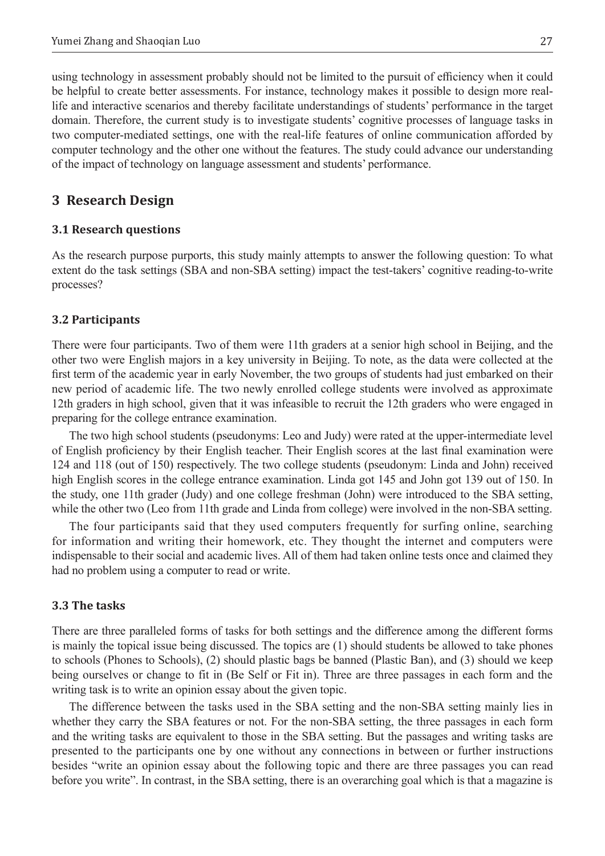using technology in assessment probably should not be limited to the pursuit of efficiency when it could be helpful to create better assessments. For instance, technology makes it possible to design more reallife and interactive scenarios and thereby facilitate understandings of students' performance in the target domain. Therefore, the current study is to investigate students' cognitive processes of language tasks in two computer-mediated settings, one with the real-life features of online communication afforded by computer technology and the other one without the features. The study could advance our understanding of the impact of technology on language assessment and students' performance.

# **3 Research Design**

#### **3.1 Research questions**

As the research purpose purports, this study mainly attempts to answer the following question: To what extent do the task settings (SBA and non-SBA setting) impact the test-takers' cognitive reading-to-write processes?

#### **3.2 Participants**

There were four participants. Two of them were 11th graders at a senior high school in Beijing, and the other two were English majors in a key university in Beijing. To note, as the data were collected at the first term of the academic year in early November, the two groups of students had just embarked on their new period of academic life. The two newly enrolled college students were involved as approximate 12th graders in high school, given that it was infeasible to recruit the 12th graders who were engaged in preparing for the college entrance examination.

The two high school students (pseudonyms: Leo and Judy) were rated at the upper-intermediate level of English proficiency by their English teacher. Their English scores at the last final examination were 124 and 118 (out of 150) respectively. The two college students (pseudonym: Linda and John) received high English scores in the college entrance examination. Linda got 145 and John got 139 out of 150. In the study, one 11th grader (Judy) and one college freshman (John) were introduced to the SBA setting, while the other two (Leo from 11th grade and Linda from college) were involved in the non-SBA setting.

The four participants said that they used computers frequently for surfing online, searching for information and writing their homework, etc. They thought the internet and computers were indispensable to their social and academic lives. All of them had taken online tests once and claimed they had no problem using a computer to read or write.

#### **3.3 The tasks**

There are three paralleled forms of tasks for both settings and the difference among the different forms is mainly the topical issue being discussed. The topics are (1) should students be allowed to take phones to schools (Phones to Schools), (2) should plastic bags be banned (Plastic Ban), and (3) should we keep being ourselves or change to fit in (Be Self or Fit in). Three are three passages in each form and the writing task is to write an opinion essay about the given topic.

The difference between the tasks used in the SBA setting and the non-SBA setting mainly lies in whether they carry the SBA features or not. For the non-SBA setting, the three passages in each form and the writing tasks are equivalent to those in the SBA setting. But the passages and writing tasks are presented to the participants one by one without any connections in between or further instructions besides "write an opinion essay about the following topic and there are three passages you can read before you write". In contrast, in the SBA setting, there is an overarching goal which is that a magazine is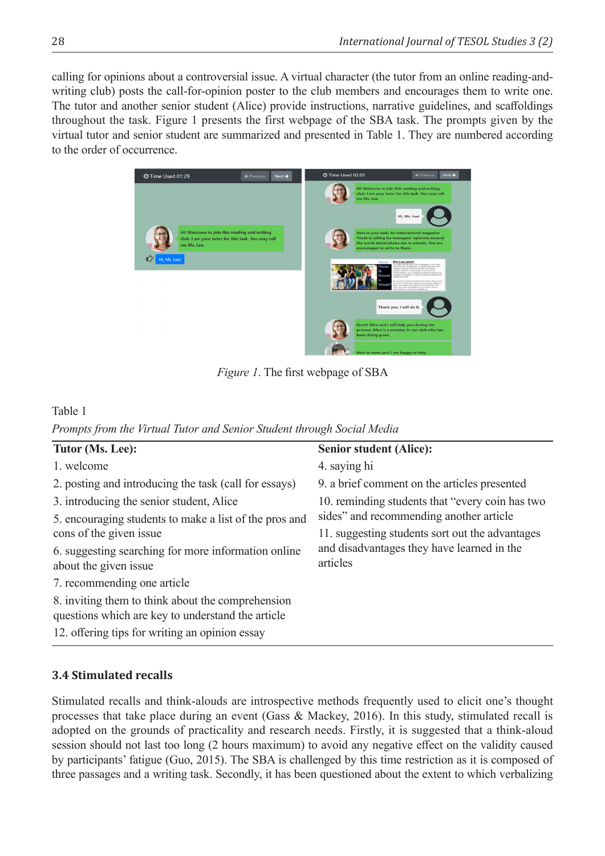calling for opinions about a controversial issue. A virtual character (the tutor from an online reading-andwriting club) posts the call-for-opinion poster to the club members and encourages them to write one. The tutor and another senior student (Alice) provide instructions, narrative guidelines, and scaffoldings throughout the task. Figure 1 presents the first webpage of the SBA task. The prompts given by the virtual tutor and senior student are summarized and presented in Table 1. They are numbered according to the order of occurrence.



*Figure 1*. The first webpage of SBA

## Table 1

*Prompts from the Virtual Tutor and Senior Student through Social Media* 

| Tutor (Ms. Lee):                                                                                                                                                                                                                                                                                                                                                                   | <b>Senior student (Alice):</b>                                                             |  |  |  |  |  |  |  |
|------------------------------------------------------------------------------------------------------------------------------------------------------------------------------------------------------------------------------------------------------------------------------------------------------------------------------------------------------------------------------------|--------------------------------------------------------------------------------------------|--|--|--|--|--|--|--|
| 1. welcome                                                                                                                                                                                                                                                                                                                                                                         | 4. saying hi                                                                               |  |  |  |  |  |  |  |
| 2. posting and introducing the task (call for essays)                                                                                                                                                                                                                                                                                                                              | 9. a brief comment on the articles presented                                               |  |  |  |  |  |  |  |
| 3. introducing the senior student, Alice                                                                                                                                                                                                                                                                                                                                           | 10. reminding students that "every coin has two                                            |  |  |  |  |  |  |  |
| 5. encouraging students to make a list of the pros and                                                                                                                                                                                                                                                                                                                             | sides" and recommending another article<br>11. suggesting students sort out the advantages |  |  |  |  |  |  |  |
| cons of the given issue                                                                                                                                                                                                                                                                                                                                                            |                                                                                            |  |  |  |  |  |  |  |
| 6. suggesting searching for more information online<br>about the given issue                                                                                                                                                                                                                                                                                                       | and disadvantages they have learned in the<br>articles                                     |  |  |  |  |  |  |  |
| 7. recommending one article                                                                                                                                                                                                                                                                                                                                                        |                                                                                            |  |  |  |  |  |  |  |
| 8. inviting them to think about the comprehension<br>questions which are key to understand the article                                                                                                                                                                                                                                                                             |                                                                                            |  |  |  |  |  |  |  |
| $12.6$ of $\epsilon$ din $\epsilon$ is the state of $\epsilon$ of $\epsilon$ of $\epsilon$ of $\epsilon$ of $\epsilon$ of $\epsilon$ of $\epsilon$ of $\epsilon$ of $\epsilon$ of $\epsilon$ of $\epsilon$ of $\epsilon$ of $\epsilon$ of $\epsilon$ of $\epsilon$ of $\epsilon$ of $\epsilon$ of $\epsilon$ of $\epsilon$ of $\epsilon$ of $\epsilon$ of $\epsilon$ of $\epsilon$ |                                                                                            |  |  |  |  |  |  |  |

12. offering tips for writing an opinion essay

# **3.4 Stimulated recalls**

Stimulated recalls and think-alouds are introspective methods frequently used to elicit one's thought processes that take place during an event (Gass & Mackey, 2016). In this study, stimulated recall is adopted on the grounds of practicality and research needs. Firstly, it is suggested that a think-aloud session should not last too long (2 hours maximum) to avoid any negative effect on the validity caused by participants' fatigue (Guo, 2015). The SBA is challenged by this time restriction as it is composed of three passages and a writing task. Secondly, it has been questioned about the extent to which verbalizing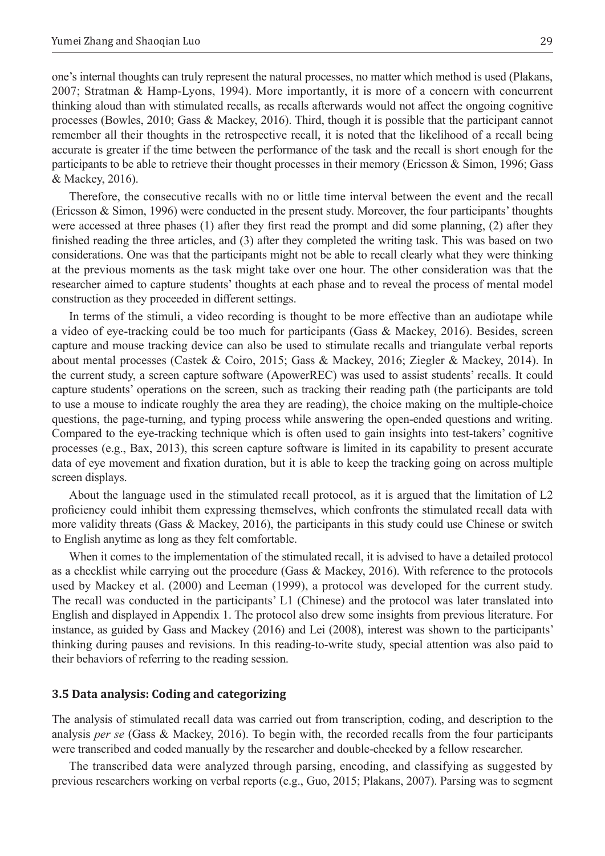one's internal thoughts can truly represent the natural processes, no matter which method is used (Plakans, 2007; Stratman & Hamp-Lyons, 1994). More importantly, it is more of a concern with concurrent thinking aloud than with stimulated recalls, as recalls afterwards would not affect the ongoing cognitive processes (Bowles, 2010; Gass & Mackey, 2016). Third, though it is possible that the participant cannot remember all their thoughts in the retrospective recall, it is noted that the likelihood of a recall being accurate is greater if the time between the performance of the task and the recall is short enough for the participants to be able to retrieve their thought processes in their memory (Ericsson & Simon, 1996; Gass & Mackey, 2016).

Therefore, the consecutive recalls with no or little time interval between the event and the recall (Ericsson & Simon, 1996) were conducted in the present study. Moreover, the four participants' thoughts were accessed at three phases (1) after they first read the prompt and did some planning, (2) after they finished reading the three articles, and (3) after they completed the writing task. This was based on two considerations. One was that the participants might not be able to recall clearly what they were thinking at the previous moments as the task might take over one hour. The other consideration was that the researcher aimed to capture students' thoughts at each phase and to reveal the process of mental model construction as they proceeded in different settings.

In terms of the stimuli, a video recording is thought to be more effective than an audiotape while a video of eye-tracking could be too much for participants (Gass & Mackey, 2016). Besides, screen capture and mouse tracking device can also be used to stimulate recalls and triangulate verbal reports about mental processes (Castek & Coiro, 2015; Gass & Mackey, 2016; Ziegler & Mackey, 2014). In the current study, a screen capture software (ApowerREC) was used to assist students' recalls. It could capture students' operations on the screen, such as tracking their reading path (the participants are told to use a mouse to indicate roughly the area they are reading), the choice making on the multiple-choice questions, the page-turning, and typing process while answering the open-ended questions and writing. Compared to the eye-tracking technique which is often used to gain insights into test-takers' cognitive processes (e.g., Bax, 2013), this screen capture software is limited in its capability to present accurate data of eye movement and fixation duration, but it is able to keep the tracking going on across multiple screen displays.

About the language used in the stimulated recall protocol, as it is argued that the limitation of L2 proficiency could inhibit them expressing themselves, which confronts the stimulated recall data with more validity threats (Gass & Mackey, 2016), the participants in this study could use Chinese or switch to English anytime as long as they felt comfortable.

When it comes to the implementation of the stimulated recall, it is advised to have a detailed protocol as a checklist while carrying out the procedure (Gass & Mackey, 2016). With reference to the protocols used by Mackey et al. (2000) and Leeman (1999), a protocol was developed for the current study. The recall was conducted in the participants' L1 (Chinese) and the protocol was later translated into English and displayed in Appendix 1. The protocol also drew some insights from previous literature. For instance, as guided by Gass and Mackey (2016) and Lei (2008), interest was shown to the participants' thinking during pauses and revisions. In this reading-to-write study, special attention was also paid to their behaviors of referring to the reading session.

#### **3.5 Data analysis: Coding and categorizing**

The analysis of stimulated recall data was carried out from transcription, coding, and description to the analysis *per se* (Gass & Mackey, 2016). To begin with, the recorded recalls from the four participants were transcribed and coded manually by the researcher and double-checked by a fellow researcher.

The transcribed data were analyzed through parsing, encoding, and classifying as suggested by previous researchers working on verbal reports (e.g., Guo, 2015; Plakans, 2007). Parsing was to segment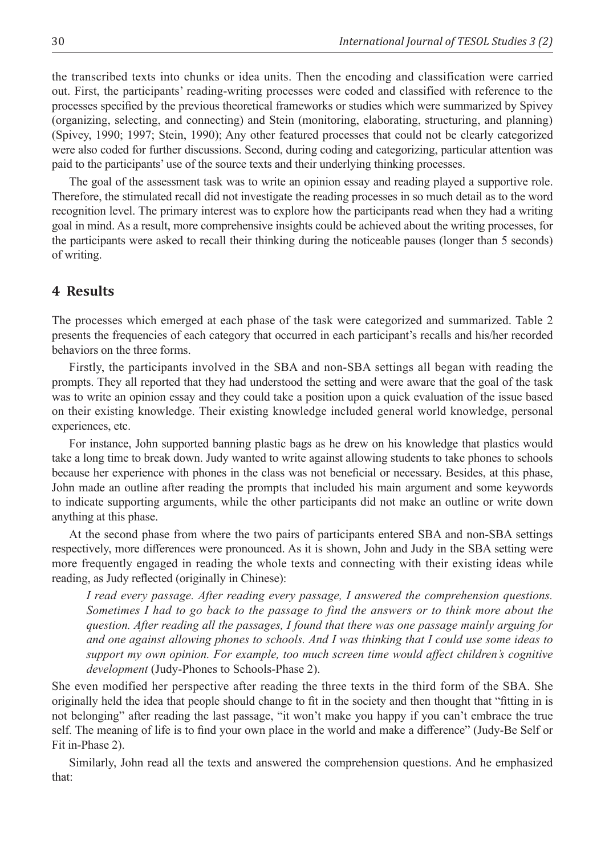the transcribed texts into chunks or idea units. Then the encoding and classification were carried out. First, the participants' reading-writing processes were coded and classified with reference to the processes specified by the previous theoretical frameworks or studies which were summarized by Spivey (organizing, selecting, and connecting) and Stein (monitoring, elaborating, structuring, and planning) (Spivey, 1990; 1997; Stein, 1990); Any other featured processes that could not be clearly categorized were also coded for further discussions. Second, during coding and categorizing, particular attention was paid to the participants' use of the source texts and their underlying thinking processes.

The goal of the assessment task was to write an opinion essay and reading played a supportive role. Therefore, the stimulated recall did not investigate the reading processes in so much detail as to the word recognition level. The primary interest was to explore how the participants read when they had a writing goal in mind. As a result, more comprehensive insights could be achieved about the writing processes, for the participants were asked to recall their thinking during the noticeable pauses (longer than 5 seconds) of writing.

# **4 Results**

The processes which emerged at each phase of the task were categorized and summarized. Table 2 presents the frequencies of each category that occurred in each participant's recalls and his/her recorded behaviors on the three forms.

Firstly, the participants involved in the SBA and non-SBA settings all began with reading the prompts. They all reported that they had understood the setting and were aware that the goal of the task was to write an opinion essay and they could take a position upon a quick evaluation of the issue based on their existing knowledge. Their existing knowledge included general world knowledge, personal experiences, etc.

For instance, John supported banning plastic bags as he drew on his knowledge that plastics would take a long time to break down. Judy wanted to write against allowing students to take phones to schools because her experience with phones in the class was not beneficial or necessary. Besides, at this phase, John made an outline after reading the prompts that included his main argument and some keywords to indicate supporting arguments, while the other participants did not make an outline or write down anything at this phase.

At the second phase from where the two pairs of participants entered SBA and non-SBA settings respectively, more differences were pronounced. As it is shown, John and Judy in the SBA setting were more frequently engaged in reading the whole texts and connecting with their existing ideas while reading, as Judy reflected (originally in Chinese):

*I read every passage. After reading every passage, I answered the comprehension questions. Sometimes I had to go back to the passage to find the answers or to think more about the question. After reading all the passages, I found that there was one passage mainly arguing for and one against allowing phones to schools. And I was thinking that I could use some ideas to support my own opinion. For example, too much screen time would affect children's cognitive development* (Judy-Phones to Schools-Phase 2).

She even modified her perspective after reading the three texts in the third form of the SBA. She originally held the idea that people should change to fit in the society and then thought that "fitting in is not belonging" after reading the last passage, "it won't make you happy if you can't embrace the true self. The meaning of life is to find your own place in the world and make a difference" (Judy-Be Self or Fit in-Phase 2).

Similarly, John read all the texts and answered the comprehension questions. And he emphasized that: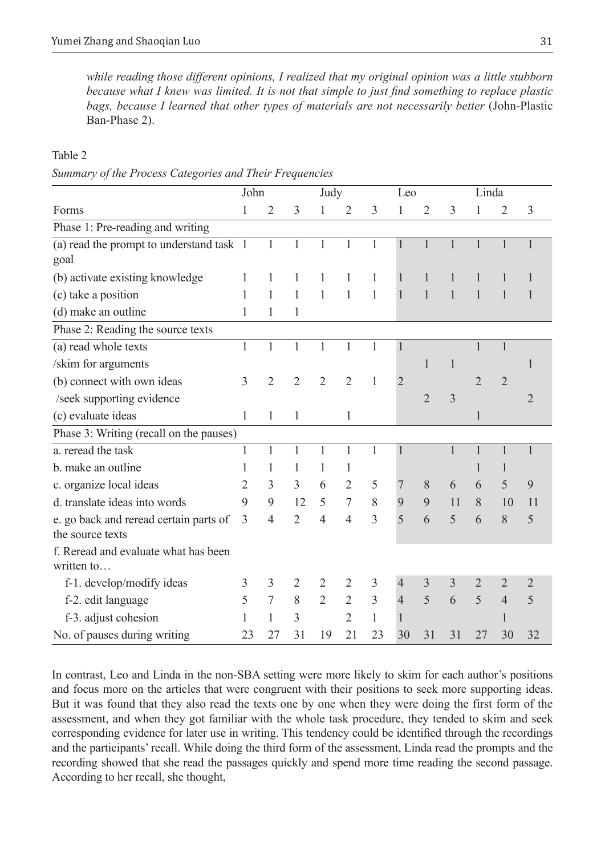*while reading those different opinions, I realized that my original opinion was a little stubborn because what I knew was limited. It is not that simple to just find something to replace plastic bags, because I learned that other types of materials are not necessarily better* (John-Plastic Ban-Phase 2).

### Table 2

|                                                            | John         |                |                | Judy           |                |              | Leo            |                |                | Linda          |                |                |
|------------------------------------------------------------|--------------|----------------|----------------|----------------|----------------|--------------|----------------|----------------|----------------|----------------|----------------|----------------|
| Forms                                                      | 1            | $\overline{2}$ | 3              | 1              | $\overline{2}$ | 3            | 1              | $\overline{2}$ | 3              | 1              | $\overline{2}$ | 3              |
| Phase 1: Pre-reading and writing                           |              |                |                |                |                |              |                |                |                |                |                |                |
| (a) read the prompt to understand task 1<br>goal           |              | $\mathbf{1}$   | $\mathbf{1}$   | $\mathbf{1}$   | $\mathbf{1}$   | $\mathbf{1}$ | $\mathbf{1}$   | $\mathbf{1}$   | $\mathbf{1}$   | $\mathbf{1}$   | $\mathbf{1}$   | $\mathbf{1}$   |
| (b) activate existing knowledge                            | 1            |                | 1              | 1              | 1              | 1            |                |                |                |                |                |                |
| (c) take a position                                        | 1            | 1              | 1              | $\mathbf{1}$   | $\mathbf{1}$   | $\mathbf{1}$ | $\mathbf{1}$   | $\mathbf{1}$   | $\mathbf{1}$   | $\mathbf{1}$   | $\mathbf{1}$   | $\mathbf{1}$   |
| (d) make an outline                                        | 1            | 1              | 1              |                |                |              |                |                |                |                |                |                |
| Phase 2: Reading the source texts                          |              |                |                |                |                |              |                |                |                |                |                |                |
| (a) read whole texts                                       | $\mathbf{1}$ | $\mathbf{1}$   | $\mathbf{1}$   | $\mathbf{1}$   | $\mathbf{1}$   | $\mathbf{1}$ | $\mathbf{1}$   |                |                | $\mathbf{1}$   | $\mathbf{1}$   |                |
| /skim for arguments                                        |              |                |                |                |                |              |                | 1              | 1              |                |                | 1              |
| (b) connect with own ideas                                 | 3            | $\overline{2}$ | $\overline{2}$ | $\overline{2}$ | $\overline{2}$ | $\mathbf{1}$ | $\overline{2}$ |                |                | $\overline{2}$ | $\overline{2}$ |                |
| /seek supporting evidence                                  |              |                |                |                |                |              |                | $\overline{2}$ | $\overline{3}$ |                |                | $\overline{2}$ |
| (c) evaluate ideas                                         | $\mathbf{1}$ | $\mathbf{1}$   | $\mathbf{1}$   |                | $\mathbf{1}$   |              |                |                |                | $\mathbf{1}$   |                |                |
| Phase 3: Writing (recall on the pauses)                    |              |                |                |                |                |              |                |                |                |                |                |                |
| a. reread the task                                         | 1            | 1              | 1              | 1              | $\mathbf{1}$   | $\mathbf{1}$ | 1              |                | $\mathbf{1}$   |                | 1              | $\mathbf{1}$   |
| b. make an outline                                         | 1            | 1              | 1              | $\mathbf{1}$   | 1              |              |                |                |                | 1              | 1              |                |
| c. organize local ideas                                    | 2            | 3              | 3              | 6              | $\overline{2}$ | 5            | $\overline{7}$ | 8              | 6              | 6              | 5              | 9              |
| d. translate ideas into words                              | 9            | 9              | 12             | 5              | $\overline{7}$ | 8            | 9              | 9              | 11             | 8              | 10             | 11             |
| e. go back and reread certain parts of<br>the source texts | 3            | $\overline{4}$ | $\overline{2}$ | $\overline{4}$ | $\overline{4}$ | 3            | 5              | 6              | 5              | 6              | 8              | 5              |
| f. Reread and evaluate what has been                       |              |                |                |                |                |              |                |                |                |                |                |                |
| written to                                                 |              |                |                |                |                |              |                |                |                |                |                |                |
| f-1. develop/modify ideas                                  | 3            | 3              | $\overline{2}$ | $\overline{2}$ | $\overline{2}$ | 3            | $\overline{4}$ | $\overline{3}$ | 3              | $\overline{2}$ | $\overline{2}$ | $\overline{2}$ |
| f-2. edit language                                         | 5            | $\tau$         | 8              | $\overline{2}$ | $\overline{2}$ | 3            | $\overline{4}$ | 5              | 6              | 5              | $\overline{4}$ | 5              |
| f-3. adjust cohesion                                       |              | 1              | 3              |                | $\overline{2}$ | $\mathbf{1}$ | $\mathbf{1}$   |                |                |                | $\mathbf{1}$   |                |
| No. of pauses during writing                               | 23           | 27             | 31             | 19             | 21             | 23           | 30             | 31             | 31             | 27             | 30             | 32             |

In contrast, Leo and Linda in the non-SBA setting were more likely to skim for each author's positions and focus more on the articles that were congruent with their positions to seek more supporting ideas. But it was found that they also read the texts one by one when they were doing the first form of the assessment, and when they got familiar with the whole task procedure, they tended to skim and seek corresponding evidence for later use in writing. This tendency could be identified through the recordings and the participants' recall. While doing the third form of the assessment, Linda read the prompts and the recording showed that she read the passages quickly and spend more time reading the second passage. According to her recall, she thought,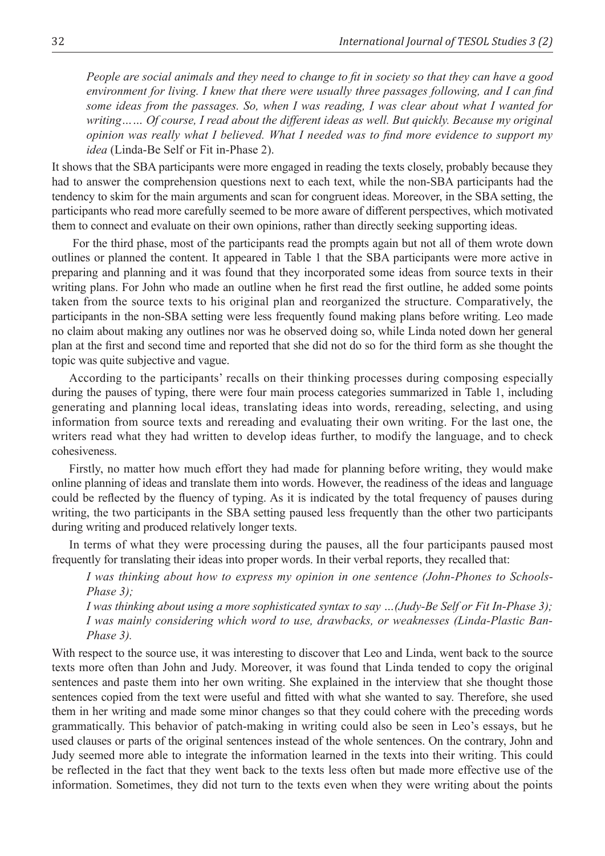*People are social animals and they need to change to fit in society so that they can have a good environment for living. I knew that there were usually three passages following, and I can find some ideas from the passages. So, when I was reading, I was clear about what I wanted for writing…… Of course, I read about the different ideas as well. But quickly. Because my original opinion was really what I believed. What I needed was to find more evidence to support my idea* (Linda-Be Self or Fit in-Phase 2).

It shows that the SBA participants were more engaged in reading the texts closely, probably because they had to answer the comprehension questions next to each text, while the non-SBA participants had the tendency to skim for the main arguments and scan for congruent ideas. Moreover, in the SBA setting, the participants who read more carefully seemed to be more aware of different perspectives, which motivated them to connect and evaluate on their own opinions, rather than directly seeking supporting ideas.

 For the third phase, most of the participants read the prompts again but not all of them wrote down outlines or planned the content. It appeared in Table 1 that the SBA participants were more active in preparing and planning and it was found that they incorporated some ideas from source texts in their writing plans. For John who made an outline when he first read the first outline, he added some points taken from the source texts to his original plan and reorganized the structure. Comparatively, the participants in the non-SBA setting were less frequently found making plans before writing. Leo made no claim about making any outlines nor was he observed doing so, while Linda noted down her general plan at the first and second time and reported that she did not do so for the third form as she thought the topic was quite subjective and vague.

According to the participants' recalls on their thinking processes during composing especially during the pauses of typing, there were four main process categories summarized in Table 1, including generating and planning local ideas, translating ideas into words, rereading, selecting, and using information from source texts and rereading and evaluating their own writing. For the last one, the writers read what they had written to develop ideas further, to modify the language, and to check cohesiveness.

Firstly, no matter how much effort they had made for planning before writing, they would make online planning of ideas and translate them into words. However, the readiness of the ideas and language could be reflected by the fluency of typing. As it is indicated by the total frequency of pauses during writing, the two participants in the SBA setting paused less frequently than the other two participants during writing and produced relatively longer texts.

In terms of what they were processing during the pauses, all the four participants paused most frequently for translating their ideas into proper words. In their verbal reports, they recalled that:

*I was thinking about how to express my opinion in one sentence (John-Phones to Schools-Phase 3);*

*I was thinking about using a more sophisticated syntax to say …(Judy-Be Self or Fit In-Phase 3); I was mainly considering which word to use, drawbacks, or weaknesses (Linda-Plastic Ban-Phase 3).* 

With respect to the source use, it was interesting to discover that Leo and Linda, went back to the source texts more often than John and Judy. Moreover, it was found that Linda tended to copy the original sentences and paste them into her own writing. She explained in the interview that she thought those sentences copied from the text were useful and fitted with what she wanted to say. Therefore, she used them in her writing and made some minor changes so that they could cohere with the preceding words grammatically. This behavior of patch-making in writing could also be seen in Leo's essays, but he used clauses or parts of the original sentences instead of the whole sentences. On the contrary, John and Judy seemed more able to integrate the information learned in the texts into their writing. This could be reflected in the fact that they went back to the texts less often but made more effective use of the information. Sometimes, they did not turn to the texts even when they were writing about the points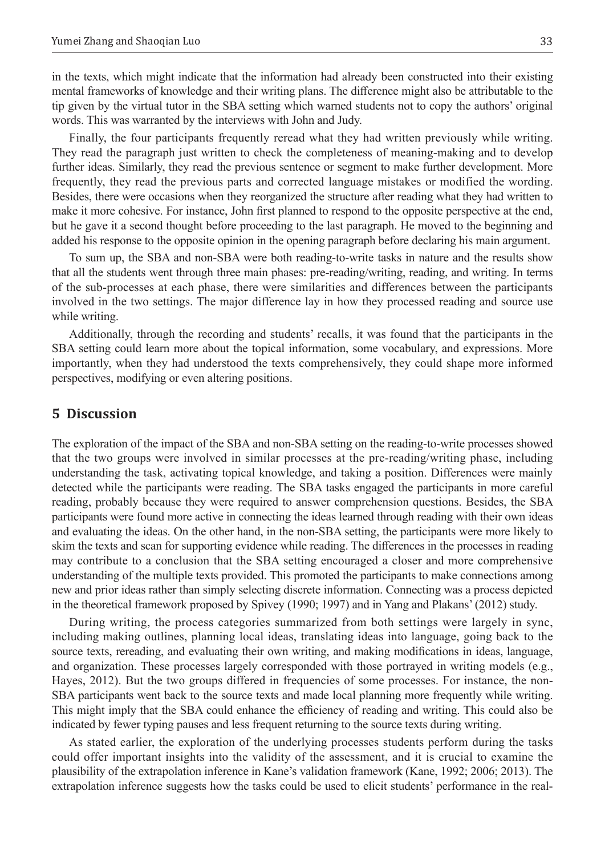in the texts, which might indicate that the information had already been constructed into their existing mental frameworks of knowledge and their writing plans. The difference might also be attributable to the tip given by the virtual tutor in the SBA setting which warned students not to copy the authors' original words. This was warranted by the interviews with John and Judy.

Finally, the four participants frequently reread what they had written previously while writing. They read the paragraph just written to check the completeness of meaning-making and to develop further ideas. Similarly, they read the previous sentence or segment to make further development. More frequently, they read the previous parts and corrected language mistakes or modified the wording. Besides, there were occasions when they reorganized the structure after reading what they had written to make it more cohesive. For instance, John first planned to respond to the opposite perspective at the end, but he gave it a second thought before proceeding to the last paragraph. He moved to the beginning and added his response to the opposite opinion in the opening paragraph before declaring his main argument.

To sum up, the SBA and non-SBA were both reading-to-write tasks in nature and the results show that all the students went through three main phases: pre-reading/writing, reading, and writing. In terms of the sub-processes at each phase, there were similarities and differences between the participants involved in the two settings. The major difference lay in how they processed reading and source use while writing.

Additionally, through the recording and students' recalls, it was found that the participants in the SBA setting could learn more about the topical information, some vocabulary, and expressions. More importantly, when they had understood the texts comprehensively, they could shape more informed perspectives, modifying or even altering positions.

### **5 Discussion**

The exploration of the impact of the SBA and non-SBA setting on the reading-to-write processes showed that the two groups were involved in similar processes at the pre-reading/writing phase, including understanding the task, activating topical knowledge, and taking a position. Differences were mainly detected while the participants were reading. The SBA tasks engaged the participants in more careful reading, probably because they were required to answer comprehension questions. Besides, the SBA participants were found more active in connecting the ideas learned through reading with their own ideas and evaluating the ideas. On the other hand, in the non-SBA setting, the participants were more likely to skim the texts and scan for supporting evidence while reading. The differences in the processes in reading may contribute to a conclusion that the SBA setting encouraged a closer and more comprehensive understanding of the multiple texts provided. This promoted the participants to make connections among new and prior ideas rather than simply selecting discrete information. Connecting was a process depicted in the theoretical framework proposed by Spivey (1990; 1997) and in Yang and Plakans' (2012) study.

During writing, the process categories summarized from both settings were largely in sync, including making outlines, planning local ideas, translating ideas into language, going back to the source texts, rereading, and evaluating their own writing, and making modifications in ideas, language, and organization. These processes largely corresponded with those portrayed in writing models (e.g., Hayes, 2012). But the two groups differed in frequencies of some processes. For instance, the non-SBA participants went back to the source texts and made local planning more frequently while writing. This might imply that the SBA could enhance the efficiency of reading and writing. This could also be indicated by fewer typing pauses and less frequent returning to the source texts during writing.

As stated earlier, the exploration of the underlying processes students perform during the tasks could offer important insights into the validity of the assessment, and it is crucial to examine the plausibility of the extrapolation inference in Kane's validation framework (Kane, 1992; 2006; 2013). The extrapolation inference suggests how the tasks could be used to elicit students' performance in the real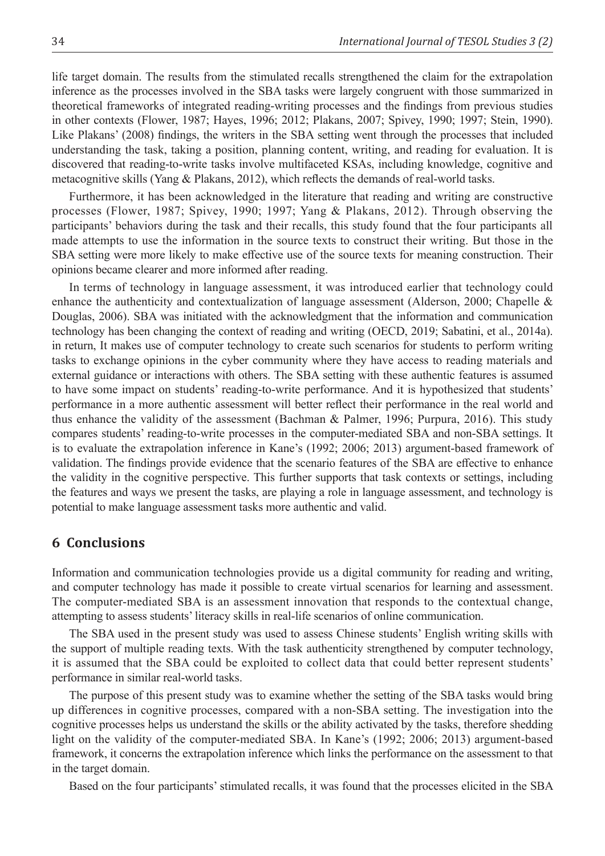life target domain. The results from the stimulated recalls strengthened the claim for the extrapolation inference as the processes involved in the SBA tasks were largely congruent with those summarized in theoretical frameworks of integrated reading-writing processes and the findings from previous studies in other contexts (Flower, 1987; Hayes, 1996; 2012; Plakans, 2007; Spivey, 1990; 1997; Stein, 1990). Like Plakans' (2008) findings, the writers in the SBA setting went through the processes that included understanding the task, taking a position, planning content, writing, and reading for evaluation. It is discovered that reading-to-write tasks involve multifaceted KSAs, including knowledge, cognitive and metacognitive skills (Yang & Plakans, 2012), which reflects the demands of real-world tasks.

Furthermore, it has been acknowledged in the literature that reading and writing are constructive processes (Flower, 1987; Spivey, 1990; 1997; Yang & Plakans, 2012). Through observing the participants' behaviors during the task and their recalls, this study found that the four participants all made attempts to use the information in the source texts to construct their writing. But those in the SBA setting were more likely to make effective use of the source texts for meaning construction. Their opinions became clearer and more informed after reading.

In terms of technology in language assessment, it was introduced earlier that technology could enhance the authenticity and contextualization of language assessment (Alderson, 2000; Chapelle  $\&$ Douglas, 2006). SBA was initiated with the acknowledgment that the information and communication technology has been changing the context of reading and writing (OECD, 2019; Sabatini, et al., 2014a). in return, It makes use of computer technology to create such scenarios for students to perform writing tasks to exchange opinions in the cyber community where they have access to reading materials and external guidance or interactions with others. The SBA setting with these authentic features is assumed to have some impact on students' reading-to-write performance. And it is hypothesized that students' performance in a more authentic assessment will better reflect their performance in the real world and thus enhance the validity of the assessment (Bachman & Palmer, 1996; Purpura, 2016). This study compares students' reading-to-write processes in the computer-mediated SBA and non-SBA settings. It is to evaluate the extrapolation inference in Kane's (1992; 2006; 2013) argument-based framework of validation. The findings provide evidence that the scenario features of the SBA are effective to enhance the validity in the cognitive perspective. This further supports that task contexts or settings, including the features and ways we present the tasks, are playing a role in language assessment, and technology is potential to make language assessment tasks more authentic and valid.

### **6 Conclusions**

Information and communication technologies provide us a digital community for reading and writing, and computer technology has made it possible to create virtual scenarios for learning and assessment. The computer-mediated SBA is an assessment innovation that responds to the contextual change, attempting to assess students' literacy skills in real-life scenarios of online communication.

The SBA used in the present study was used to assess Chinese students' English writing skills with the support of multiple reading texts. With the task authenticity strengthened by computer technology, it is assumed that the SBA could be exploited to collect data that could better represent students' performance in similar real-world tasks.

The purpose of this present study was to examine whether the setting of the SBA tasks would bring up differences in cognitive processes, compared with a non-SBA setting. The investigation into the cognitive processes helps us understand the skills or the ability activated by the tasks, therefore shedding light on the validity of the computer-mediated SBA. In Kane's (1992; 2006; 2013) argument-based framework, it concerns the extrapolation inference which links the performance on the assessment to that in the target domain.

Based on the four participants' stimulated recalls, it was found that the processes elicited in the SBA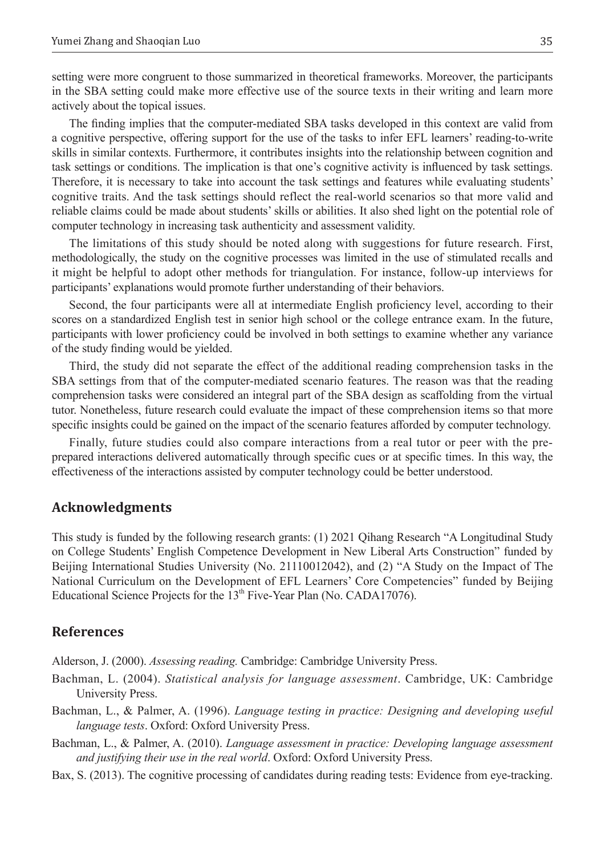setting were more congruent to those summarized in theoretical frameworks. Moreover, the participants in the SBA setting could make more effective use of the source texts in their writing and learn more actively about the topical issues.

The finding implies that the computer-mediated SBA tasks developed in this context are valid from a cognitive perspective, offering support for the use of the tasks to infer EFL learners' reading-to-write skills in similar contexts. Furthermore, it contributes insights into the relationship between cognition and task settings or conditions. The implication is that one's cognitive activity is influenced by task settings. Therefore, it is necessary to take into account the task settings and features while evaluating students' cognitive traits. And the task settings should reflect the real-world scenarios so that more valid and reliable claims could be made about students' skills or abilities. It also shed light on the potential role of computer technology in increasing task authenticity and assessment validity.

The limitations of this study should be noted along with suggestions for future research. First, methodologically, the study on the cognitive processes was limited in the use of stimulated recalls and it might be helpful to adopt other methods for triangulation. For instance, follow-up interviews for participants' explanations would promote further understanding of their behaviors.

Second, the four participants were all at intermediate English proficiency level, according to their scores on a standardized English test in senior high school or the college entrance exam. In the future, participants with lower proficiency could be involved in both settings to examine whether any variance of the study finding would be yielded.

Third, the study did not separate the effect of the additional reading comprehension tasks in the SBA settings from that of the computer-mediated scenario features. The reason was that the reading comprehension tasks were considered an integral part of the SBA design as scaffolding from the virtual tutor. Nonetheless, future research could evaluate the impact of these comprehension items so that more specific insights could be gained on the impact of the scenario features afforded by computer technology.

Finally, future studies could also compare interactions from a real tutor or peer with the preprepared interactions delivered automatically through specific cues or at specific times. In this way, the effectiveness of the interactions assisted by computer technology could be better understood.

### **Acknowledgments**

This study is funded by the following research grants: (1) 2021 Qihang Research "A Longitudinal Study on College Students' English Competence Development in New Liberal Arts Construction" funded by Beijing International Studies University (No. 21110012042), and (2) "A Study on the Impact of The National Curriculum on the Development of EFL Learners' Core Competencies" funded by Beijing Educational Science Projects for the 13<sup>th</sup> Five-Year Plan (No. CADA17076).

#### **References**

Alderson, J. (2000). *Assessing reading.* Cambridge: Cambridge University Press.

- Bachman, L. (2004). *Statistical analysis for language assessment*. Cambridge, UK: Cambridge University Press.
- Bachman, L., & Palmer, A. (1996). *Language testing in practice: Designing and developing useful language tests*. Oxford: Oxford University Press.
- Bachman, L., & Palmer, A. (2010). *Language assessment in practice: Developing language assessment and justifying their use in the real world*. Oxford: Oxford University Press.
- Bax, S. (2013). The cognitive processing of candidates during reading tests: Evidence from eye-tracking.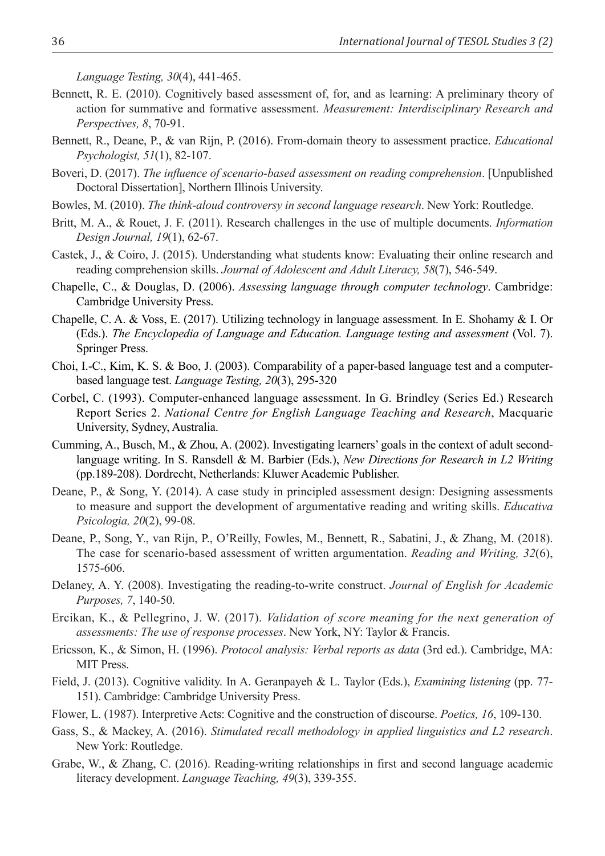*Language Testing, 30*(4), 441-465.

- Bennett, R. E. (2010). Cognitively based assessment of, for, and as learning: A preliminary theory of action for summative and formative assessment. *Measurement: Interdisciplinary Research and Perspectives, 8*, 70-91.
- Bennett, R., Deane, P., & van Rijn, P. (2016). From-domain theory to assessment practice. *Educational Psychologist, 51*(1), 82-107.
- Boveri, D. (2017). *The influence of scenario-based assessment on reading comprehension*. [Unpublished Doctoral Dissertation], Northern Illinois University.
- Bowles, M. (2010). *The think-aloud controversy in second language research*. New York: Routledge.
- Britt, M. A., & Rouet, J. F. (2011). Research challenges in the use of multiple documents. *Information Design Journal, 19*(1), 62-67.
- Castek, J., & Coiro, J. (2015). Understanding what students know: Evaluating their online research and reading comprehension skills. *Journal of Adolescent and Adult Literacy, 58*(7), 546-549.
- Chapelle, C., & Douglas, D. (2006). *Assessing language through computer technology*. Cambridge: Cambridge University Press.
- Chapelle, C. A. & Voss, E. (2017). Utilizing technology in language assessment. In E. Shohamy & I. Or (Eds.). *The Encyclopedia of Language and Education. Language testing and assessment* (Vol. 7). Springer Press.
- Choi, I.-C., Kim, K. S. & Boo, J. (2003). Comparability of a paper-based language test and a computerbased language test. *Language Testing, 20*(3), 295-320
- Corbel, C. (1993). Computer-enhanced language assessment. In G. Brindley (Series Ed.) Research Report Series 2. *National Centre for English Language Teaching and Research*, Macquarie University, Sydney, Australia.
- Cumming, A., Busch, M., & Zhou, A. (2002). Investigating learners' goals in the context of adult secondlanguage writing. In S. Ransdell & M. Barbier (Eds.), *New Directions for Research in L2 Writing* (pp.189-208). Dordrecht, Netherlands: Kluwer Academic Publisher.
- Deane, P., & Song, Y. (2014). A case study in principled assessment design: Designing assessments to measure and support the development of argumentative reading and writing skills. *Educativa Psicologia, 20*(2), 99-08.
- Deane, P., Song, Y., van Rijn, P., O'Reilly, Fowles, M., Bennett, R., Sabatini, J., & Zhang, M. (2018). The case for scenario-based assessment of written argumentation. *Reading and Writing, 32*(6), 1575-606.
- Delaney, A. Y. (2008). Investigating the reading-to-write construct. *Journal of English for Academic Purposes, 7*, 140-50.
- Ercikan, K., & Pellegrino, J. W. (2017). *Validation of score meaning for the next generation of assessments: The use of response processes*. New York, NY: Taylor & Francis.
- Ericsson, K., & Simon, H. (1996). *Protocol analysis: Verbal reports as data* (3rd ed.). Cambridge, MA: MIT Press.
- Field, J. (2013). Cognitive validity. In A. Geranpayeh & L. Taylor (Eds.), *Examining listening* (pp. 77- 151). Cambridge: Cambridge University Press.
- Flower, L. (1987). Interpretive Acts: Cognitive and the construction of discourse. *Poetics, 16*, 109-130.
- Gass, S., & Mackey, A. (2016). *Stimulated recall methodology in applied linguistics and L2 research*. New York: Routledge.
- Grabe, W., & Zhang, C. (2016). Reading-writing relationships in first and second language academic literacy development. *Language Teaching, 49*(3), 339-355.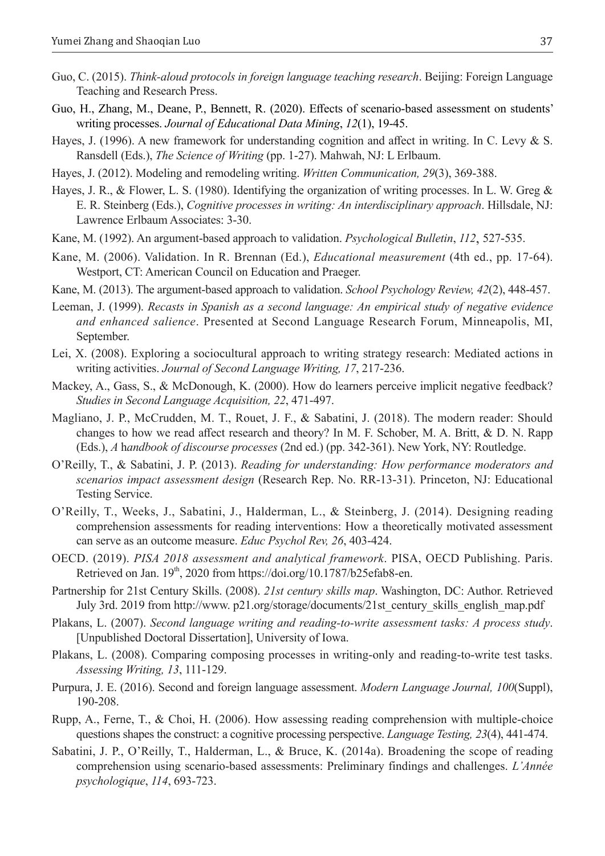- Guo, C. (2015). *Think-aloud protocols in foreign language teaching research*. Beijing: Foreign Language Teaching and Research Press.
- Guo, H., Zhang, M., Deane, P., Bennett, R. (2020). Effects of scenario-based assessment on students' writing processes. *Journal of Educational Data Mining*, *12*(1), 19-45.
- Hayes, J. (1996). A new framework for understanding cognition and affect in writing. In C. Levy & S. Ransdell (Eds.), *The Science of Writing* (pp. 1-27). Mahwah, NJ: L Erlbaum.
- Hayes, J. (2012). Modeling and remodeling writing. *Written Communication, 29*(3), 369-388.
- Hayes, J. R., & Flower, L. S. (1980). Identifying the organization of writing processes. In L. W. Greg & E. R. Steinberg (Eds.), *Cognitive processes in writing: An interdisciplinary approach*. Hillsdale, NJ: Lawrence Erlbaum Associates: 3-30.
- Kane, M. (1992). An argument-based approach to validation. *Psychological Bulletin*, *112*, 527-535.
- Kane, M. (2006). Validation. In R. Brennan (Ed.), *Educational measurement* (4th ed., pp. 17-64). Westport, CT: American Council on Education and Praeger.
- Kane, M. (2013). The argument-based approach to validation. *School Psychology Review, 42*(2), 448-457.
- Leeman, J. (1999). *Recasts in Spanish as a second language: An empirical study of negative evidence and enhanced salience*. Presented at Second Language Research Forum, Minneapolis, MI, September.
- Lei, X. (2008). Exploring a sociocultural approach to writing strategy research: Mediated actions in writing activities. *Journal of Second Language Writing, 17*, 217-236.
- Mackey, A., Gass, S., & McDonough, K. (2000). How do learners perceive implicit negative feedback? *Studies in Second Language Acquisition, 22*, 471-497.
- Magliano, J. P., McCrudden, M. T., Rouet, J. F., & Sabatini, J. (2018). The modern reader: Should changes to how we read affect research and theory? In M. F. Schober, M. A. Britt, & D. N. Rapp (Eds.), *A* h*andbook of discourse processes* (2nd ed.) (pp. 342-361). New York, NY: Routledge.
- O'Reilly, T., & Sabatini, J. P. (2013). *Reading for understanding: How performance moderators and scenarios impact assessment design* (Research Rep. No. RR-13-31). Princeton, NJ: Educational Testing Service.
- O'Reilly, T., Weeks, J., Sabatini, J., Halderman, L., & Steinberg, J. (2014). Designing reading comprehension assessments for reading interventions: How a theoretically motivated assessment can serve as an outcome measure. *Educ Psychol Rev, 26*, 403-424.
- OECD. (2019). *PISA 2018 assessment and analytical framework*. PISA, OECD Publishing. Paris. Retrieved on Jan. 19<sup>th</sup>, 2020 from https://doi.org/10.1787/b25efab8-en.
- Partnership for 21st Century Skills. (2008). *21st century skills map*. Washington, DC: Author. Retrieved July 3rd. 2019 from http://www. p21.org/storage/documents/21st\_century\_skills\_english\_map.pdf
- Plakans, L. (2007). *Second language writing and reading-to-write assessment tasks: A process study*. [Unpublished Doctoral Dissertation], University of Iowa.
- Plakans, L. (2008). Comparing composing processes in writing-only and reading-to-write test tasks. *Assessing Writing, 13*, 111-129.
- Purpura, J. E. (2016). Second and foreign language assessment. *Modern Language Journal, 100*(Suppl), 190-208.
- Rupp, A., Ferne, T., & Choi, H. (2006). How assessing reading comprehension with multiple-choice questions shapes the construct: a cognitive processing perspective. *Language Testing, 23*(4), 441-474.
- Sabatini, J. P., O'Reilly, T., Halderman, L., & Bruce, K. (2014a). Broadening the scope of reading comprehension using scenario-based assessments: Preliminary findings and challenges. *L'Année psychologique*, *114*, 693-723.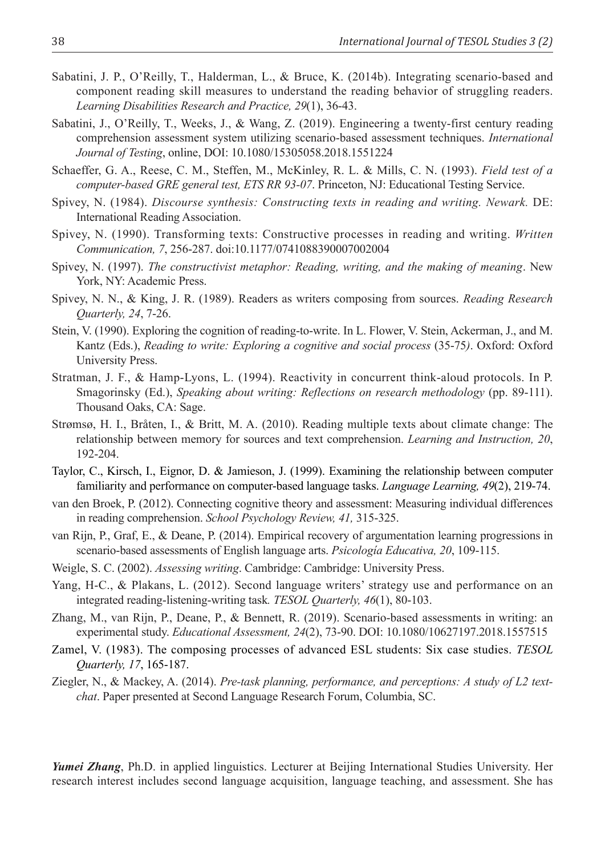- Sabatini, J. P., O'Reilly, T., Halderman, L., & Bruce, K. (2014b). Integrating scenario-based and component reading skill measures to understand the reading behavior of struggling readers. *Learning Disabilities Research and Practice, 29*(1), 36-43.
- Sabatini, J., O'Reilly, T., Weeks, J., & Wang, Z. (2019). Engineering a twenty-first century reading comprehension assessment system utilizing scenario-based assessment techniques. *International Journal of Testing*, online, DOI: 10.1080/15305058.2018.1551224
- Schaeffer, G. A., Reese, C. M., Steffen, M., McKinley, R. L. & Mills, C. N. (1993). *Field test of a computer-based GRE general test, ETS RR 93-07*. Princeton, NJ: Educational Testing Service.
- Spivey, N. (1984). *Discourse synthesis: Constructing texts in reading and writing. Newark.* DE: International Reading Association.
- Spivey, N. (1990). Transforming texts: Constructive processes in reading and writing. *Written Communication, 7*, 256-287. doi:10.1177/0741088390007002004
- Spivey, N. (1997). *The constructivist metaphor: Reading, writing, and the making of meaning*. New York, NY: Academic Press.
- Spivey, N. N., & King, J. R. (1989). Readers as writers composing from sources. *Reading Research Quarterly, 24*, 7-26.
- Stein, V. (1990). Exploring the cognition of reading-to-write. In L. Flower, V. Stein, Ackerman, J., and M. Kantz (Eds.), *Reading to write: Exploring a cognitive and social process* (35-75*)*. Oxford: Oxford University Press.
- Stratman, J. F., & Hamp-Lyons, L. (1994). Reactivity in concurrent think-aloud protocols. In P. Smagorinsky (Ed.), *Speaking about writing: Reflections on research methodology* (pp. 89-111). Thousand Oaks, CA: Sage.
- Strømsø, H. I., Bråten, I., & Britt, M. A. (2010). Reading multiple texts about climate change: The relationship between memory for sources and text comprehension. *Learning and Instruction, 20*, 192-204.
- Taylor, C., Kirsch, I., Eignor, D. & Jamieson, J. (1999). Examining the relationship between computer familiarity and performance on computer-based language tasks. *Language Learning, 49*(2), 219-74.
- van den Broek, P. (2012). Connecting cognitive theory and assessment: Measuring individual differences in reading comprehension. *School Psychology Review, 41,* 315-325.
- van Rijn, P., Graf, E., & Deane, P. (2014). Empirical recovery of argumentation learning progressions in scenario-based assessments of English language arts. *Psicología Educativa, 20*, 109-115.
- Weigle, S. C. (2002). *Assessing writing*. Cambridge: Cambridge: University Press.
- Yang, H-C., & Plakans, L. (2012). Second language writers' strategy use and performance on an integrated reading-listening-writing task*. TESOL Quarterly, 46*(1), 80-103.
- Zhang, M., van Rijn, P., Deane, P., & Bennett, R. (2019). Scenario-based assessments in writing: an experimental study. *Educational Assessment, 24*(2), 73-90. DOI: 10.1080/10627197.2018.1557515
- Zamel, V. (1983). The composing processes of advanced ESL students: Six case studies. *TESOL Quarterly, 17*, 165-187.
- Ziegler, N., & Mackey, A. (2014). *Pre-task planning, performance, and perceptions: A study of L2 textchat*. Paper presented at Second Language Research Forum, Columbia, SC.

*Yumei Zhang*, Ph.D. in applied linguistics. Lecturer at Beijing International Studies University. Her research interest includes second language acquisition, language teaching, and assessment. She has